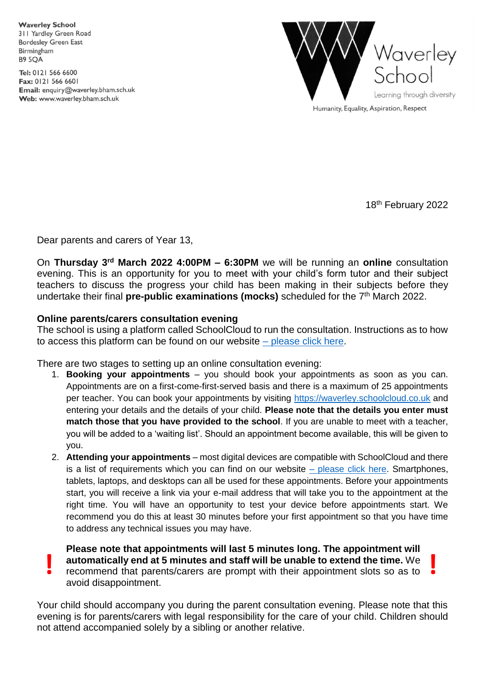**Waverley School** 311 Yardley Green Road **Bordesley Green East** Birmingham **B9 5OA** 

Tel: 0121 566 6600 Fax: 0121 566 6601 Email: enquiry@waverley.bham.sch.uk Web: www.waverley.bham.sch.uk



Humanity, Equality, Aspiration, Respect

18<sup>th</sup> February 2022

Dear parents and carers of Year 13,

On **Thursday 3 rd March 2022 4:00PM – 6:30PM** we will be running an **online** consultation evening. This is an opportunity for you to meet with your child's form tutor and their subject teachers to discuss the progress your child has been making in their subjects before they undertake their final **pre-public examinations (mocks)** scheduled for the 7<sup>th</sup> March 2022.

## **Online parents/carers consultation evening**

The school is using a platform called SchoolCloud to run the consultation. Instructions as to how to access this platform can be found on our website  $-$  [please click here.](https://www.waverley.bham.sch.uk/page/?title=Virtual+Parents+%26amp%3B+Carers+Evenings&pid=196)

There are two stages to setting up an online consultation evening:

- 1. **Booking your appointments** you should book your appointments as soon as you can. Appointments are on a first-come-first-served basis and there is a maximum of 25 appointments per teacher. You can book your appointments by visiting [https://waverley.schoolcloud.co.uk](https://waverley.schoolcloud.co.uk/) and entering your details and the details of your child. **Please note that the details you enter must match those that you have provided to the school**. If you are unable to meet with a teacher, you will be added to a 'waiting list'. Should an appointment become available, this will be given to you.
- 2. **Attending your appointments** most digital devices are compatible with SchoolCloud and there is a list of requirements which you can find on our website  $-$  [please click here.](https://www.waverley.bham.sch.uk/page/?title=Virtual+Parents+%26amp%3B+Carers+Evenings&pid=196) Smartphones, tablets, laptops, and desktops can all be used for these appointments. Before your appointments start, you will receive a link via your e-mail address that will take you to the appointment at the right time. You will have an opportunity to test your device before appointments start. We recommend you do this at least 30 minutes before your first appointment so that you have time to address any technical issues you may have.

**Please note that appointments will last 5 minutes long. The appointment will automatically end at 5 minutes and staff will be unable to extend the time.** We **example 1 automatically end at 5 minutes and staff will be unable to extend the time. We recommend that parents/carers are prompt with their appointment slots so as to** avoid disappointment.

Your child should accompany you during the parent consultation evening. Please note that this evening is for parents/carers with legal responsibility for the care of your child. Children should not attend accompanied solely by a sibling or another relative.